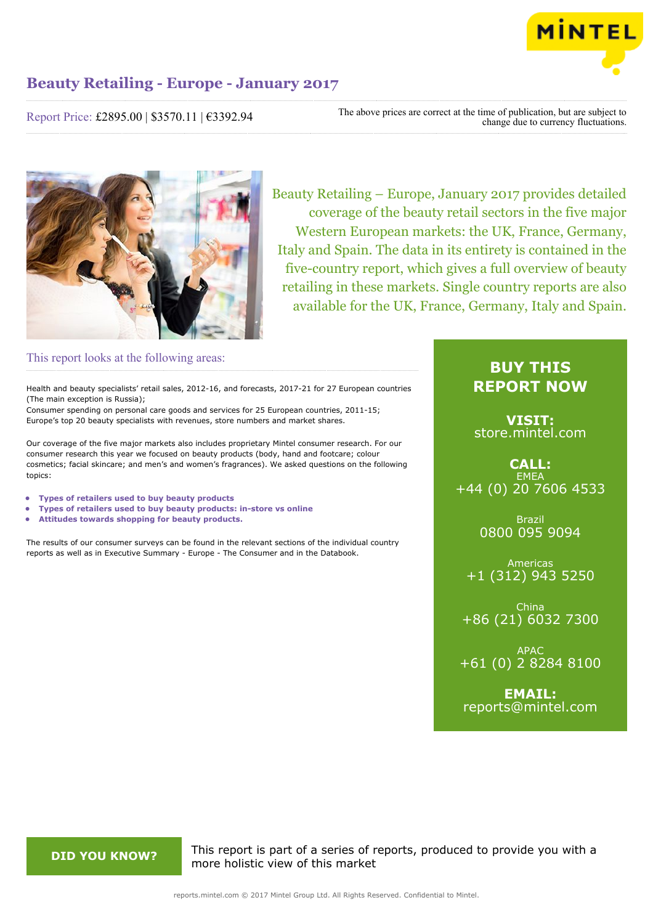

Report Price: £2895.00 | \$3570.11 | €3392.94

The above prices are correct at the time of publication, but are subject to change due to currency fluctuations.



Beauty Retailing – Europe, January 2017 provides detailed coverage of the beauty retail sectors in the five major Western European markets: the UK, France, Germany, Italy and Spain. The data in its entirety is contained in the five-country report, which gives a full overview of beauty retailing in these markets. Single country reports are also available for the UK, France, Germany, Italy and Spain.

# This report looks at the following areas:

Health and beauty specialists' retail sales, 2012-16, and forecasts, 2017-21 for 27 European countries (The main exception is Russia);

Consumer spending on personal care goods and services for 25 European countries, 2011-15; Europe's top 20 beauty specialists with revenues, store numbers and market shares.

Our coverage of the five major markets also includes proprietary Mintel consumer research. For our consumer research this year we focused on beauty products (body, hand and footcare; colour cosmetics; facial skincare; and men's and women's fragrances). We asked questions on the following topics:

- **• Types of retailers used to buy beauty products**
- **• Types of retailers used to buy beauty products: in-store vs online**
- **• Attitudes towards shopping for beauty products.**

The results of our consumer surveys can be found in the relevant sections of the individual country reports as well as in Executive Summary - Europe - The Consumer and in the Databook.

# **BUY THIS REPORT NOW**

**VISIT:** [store.mintel.com](http://reports.mintel.com//display/store/792441/)

**CALL: EMEA** +44 (0) 20 7606 4533

> Brazil 0800 095 9094

Americas +1 (312) 943 5250

China +86 (21) 6032 7300

APAC +61 (0) 2 8284 8100

**EMAIL:** [reports@mintel.com](mailto:reports@mintel.com)

**DID YOU KNOW?** This report is part of a series of reports, produced to provide you with a more holistic view of this market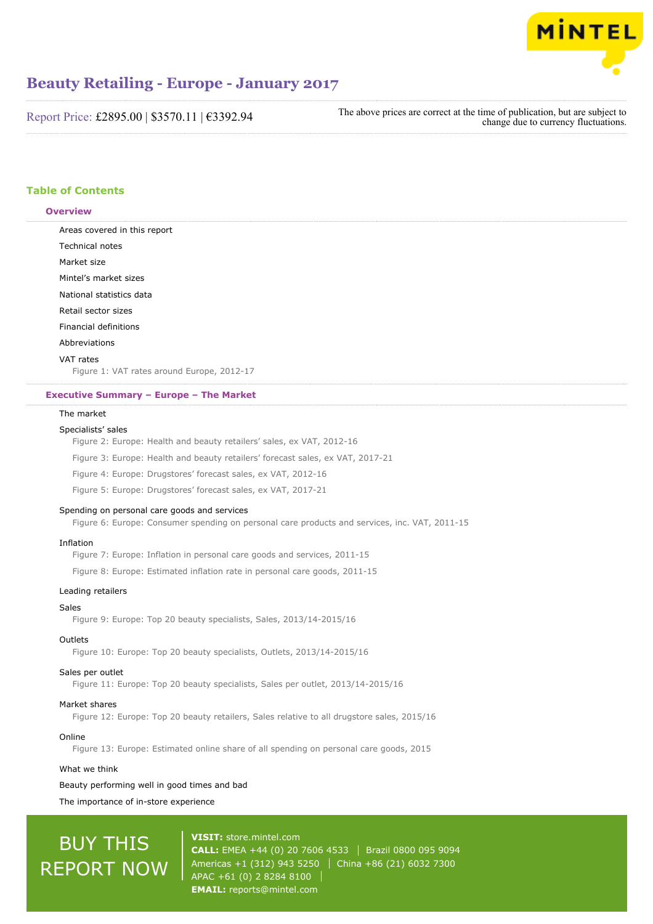

Report Price: £2895.00 | \$3570.11 | €3392.94

The above prices are correct at the time of publication, but are subject to change due to currency fluctuations.

# **Table of Contents**

#### **Overview**

Areas covered in this report Technical notes Market size Mintel's market sizes National statistics data Retail sector sizes Financial definitions Abbreviations VAT rates

Figure 1: VAT rates around Europe, 2012-17

#### **Executive Summary – Europe – The Market**

### The market

#### Specialists' sales

Figure 2: Europe: Health and beauty retailers' sales, ex VAT, 2012-16

Figure 3: Europe: Health and beauty retailers' forecast sales, ex VAT, 2017-21

Figure 4: Europe: Drugstores' forecast sales, ex VAT, 2012-16

Figure 5: Europe: Drugstores' forecast sales, ex VAT, 2017-21

#### Spending on personal care goods and services

Figure 6: Europe: Consumer spending on personal care products and services, inc. VAT, 2011-15

#### Inflation

Figure 7: Europe: Inflation in personal care goods and services, 2011-15

Figure 8: Europe: Estimated inflation rate in personal care goods, 2011-15

### Leading retailers

#### Sales

Figure 9: Europe: Top 20 beauty specialists, Sales, 2013/14-2015/16

#### Outlets

Figure 10: Europe: Top 20 beauty specialists, Outlets, 2013/14-2015/16

#### Sales per outlet

Figure 11: Europe: Top 20 beauty specialists, Sales per outlet, 2013/14-2015/16

#### Market shares

Figure 12: Europe: Top 20 beauty retailers, Sales relative to all drugstore sales, 2015/16

### Online

Figure 13: Europe: Estimated online share of all spending on personal care goods, 2015

#### What we think

## Beauty performing well in good times and bad

The importance of in-store experience

# BUY THIS REPORT NOW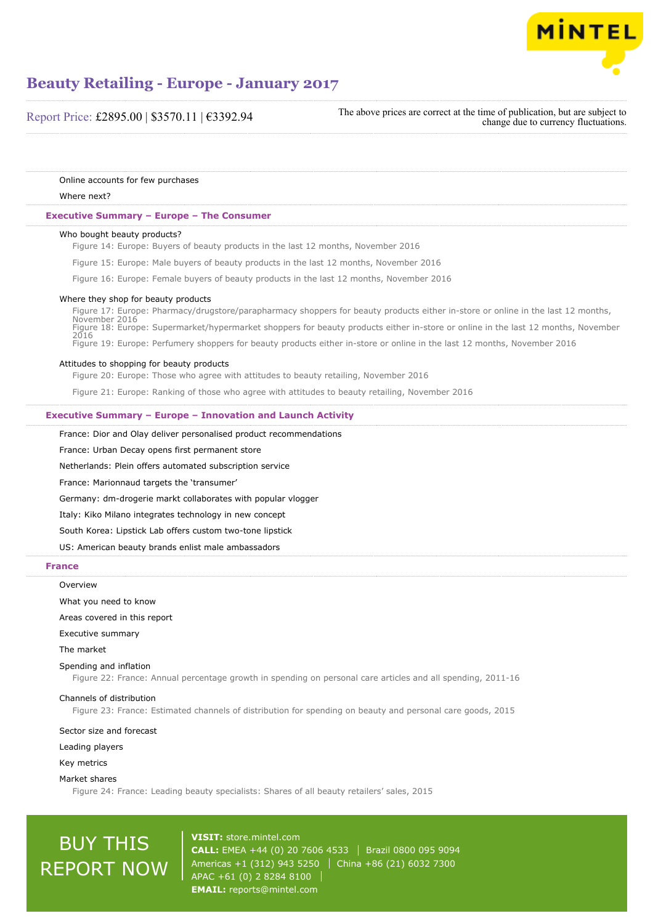

Report Price: £2895.00 | \$3570.11 | €3392.94

The above prices are correct at the time of publication, but are subject to change due to currency fluctuations.

Online accounts for few purchases

#### Where next?

#### **Executive Summary – Europe – The Consumer**

#### Who bought beauty products?

Figure 14: Europe: Buyers of beauty products in the last 12 months, November 2016

- Figure 15: Europe: Male buyers of beauty products in the last 12 months, November 2016
- Figure 16: Europe: Female buyers of beauty products in the last 12 months, November 2016

#### Where they shop for beauty products

Figure 17: Europe: Pharmacy/drugstore/parapharmacy shoppers for beauty products either in-store or online in the last 12 months, November 2016 Figure 18: Europe: Supermarket/hypermarket shoppers for beauty products either in-store or online in the last 12 months, November 2016 Figure 19: Europe: Perfumery shoppers for beauty products either in-store or online in the last 12 months, November 2016

#### Attitudes to shopping for beauty products

Figure 20: Europe: Those who agree with attitudes to beauty retailing, November 2016

Figure 21: Europe: Ranking of those who agree with attitudes to beauty retailing, November 2016

#### **Executive Summary – Europe – Innovation and Launch Activity**

France: Dior and Olay deliver personalised product recommendations

France: Urban Decay opens first permanent store

Netherlands: Plein offers automated subscription service

France: Marionnaud targets the 'transumer'

Germany: dm-drogerie markt collaborates with popular vlogger

Italy: Kiko Milano integrates technology in new concept

South Korea: Lipstick Lab offers custom two-tone lipstick

US: American beauty brands enlist male ambassadors

#### **France**

#### **Overview**

What you need to know

Areas covered in this report

Executive summary

The market

#### Spending and inflation

Figure 22: France: Annual percentage growth in spending on personal care articles and all spending, 2011-16

#### Channels of distribution

Figure 23: France: Estimated channels of distribution for spending on beauty and personal care goods, 2015

#### Sector size and forecast

Leading players

Key metrics

Market shares

Figure 24: France: Leading beauty specialists: Shares of all beauty retailers' sales, 2015

# BUY THIS REPORT NOW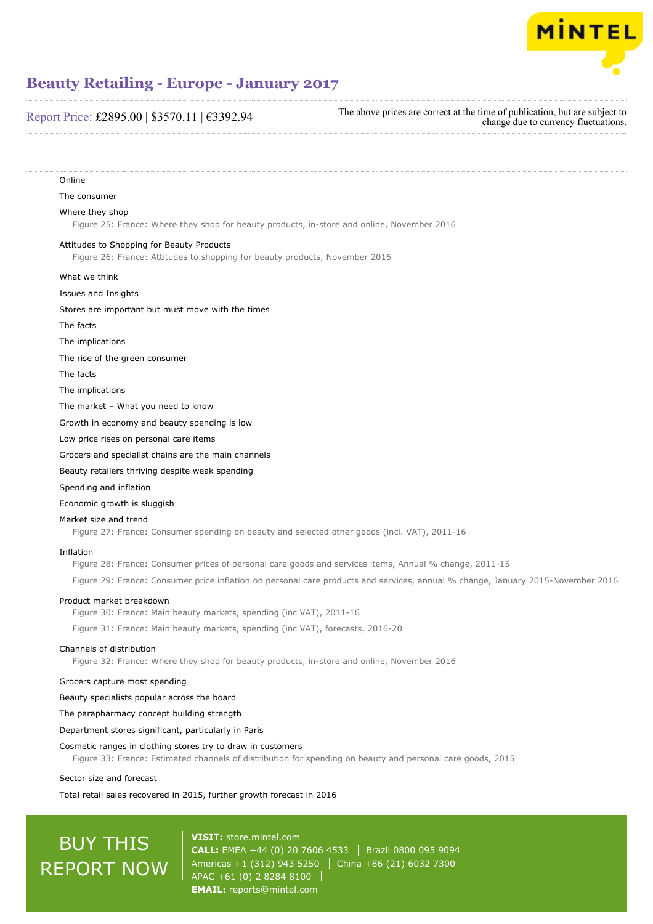

# Report Price: £2895.00 | \$3570.11 | €3392.94

The above prices are correct at the time of publication, but are subject to change due to currency fluctuations.

| Online                                                                                                                          |  |
|---------------------------------------------------------------------------------------------------------------------------------|--|
| The consumer                                                                                                                    |  |
| Where they shop<br>Figure 25: France: Where they shop for beauty products, in-store and online, November 2016                   |  |
| Attitudes to Shopping for Beauty Products<br>Figure 26: France: Attitudes to shopping for beauty products, November 2016        |  |
| What we think                                                                                                                   |  |
| Issues and Insights                                                                                                             |  |
| Stores are important but must move with the times                                                                               |  |
| The facts                                                                                                                       |  |
| The implications                                                                                                                |  |
| The rise of the green consumer                                                                                                  |  |
| The facts                                                                                                                       |  |
| The implications                                                                                                                |  |
| The market - What you need to know                                                                                              |  |
| Growth in economy and beauty spending is low                                                                                    |  |
| Low price rises on personal care items                                                                                          |  |
| Grocers and specialist chains are the main channels                                                                             |  |
| Beauty retailers thriving despite weak spending                                                                                 |  |
| Spending and inflation                                                                                                          |  |
| Economic growth is sluggish                                                                                                     |  |
| Market size and trend<br>Figure 27: France: Consumer spending on beauty and selected other goods (incl. VAT), 2011-16           |  |
| Inflation<br>Figure 28: France: Consumer prices of personal care goods and services items, Annual % change, 2011-15             |  |
| Figure 29: France: Consumer price inflation on personal care products and services, annual % change, January 2015-November 2016 |  |
| Product market breakdown<br>Figure 30: France: Main beauty markets, spending (inc VAT), 2011-16                                 |  |

Figure 31: France: Main beauty markets, spending (inc VAT), forecasts, 2016-20

#### Channels of distribution

Figure 32: France: Where they shop for beauty products, in-store and online, November 2016

#### Grocers capture most spending

Beauty specialists popular across the board

The parapharmacy concept building strength

Department stores significant, particularly in Paris

#### Cosmetic ranges in clothing stores try to draw in customers

Figure 33: France: Estimated channels of distribution for spending on beauty and personal care goods, 2015

#### Sector size and forecast

Total retail sales recovered in 2015, further growth forecast in 2016

# BUY THIS REPORT NOW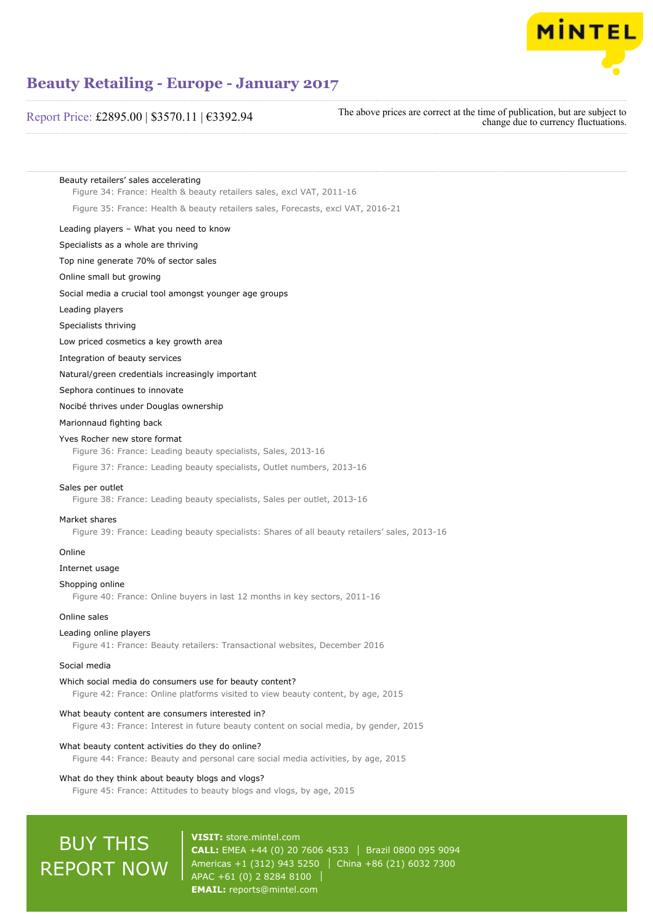

# Report Price: £2895.00 | \$3570.11 | €3392.94

The above prices are correct at the time of publication, but are subject to change due to currency fluctuations.

Beauty retailers' sales accelerating Figure 34: France: Health & beauty retailers sales, excl VAT, 2011-16

Figure 35: France: Health & beauty retailers sales, Forecasts, excl VAT, 2016-21

## Leading players – What you need to know

Specialists as a whole are thriving

Top nine generate 70% of sector sales

Online small but growing

Social media a crucial tool amongst younger age groups

#### Leading players

Specialists thriving

Low priced cosmetics a key growth area

Integration of beauty services

Natural/green credentials increasingly important

Sephora continues to innovate

#### Nocibé thrives under Douglas ownership

## Marionnaud fighting back

#### Yves Rocher new store format

Figure 36: France: Leading beauty specialists, Sales, 2013-16

Figure 37: France: Leading beauty specialists, Outlet numbers, 2013-16

#### Sales per outlet

Figure 38: France: Leading beauty specialists, Sales per outlet, 2013-16

#### Market shares

Figure 39: France: Leading beauty specialists: Shares of all beauty retailers' sales, 2013-16

#### Online

### Internet usage

#### Shopping online

Figure 40: France: Online buyers in last 12 months in key sectors, 2011-16

# Online sales

## Leading online players

Figure 41: France: Beauty retailers: Transactional websites, December 2016

## Social media

Which social media do consumers use for beauty content?

Figure 42: France: Online platforms visited to view beauty content, by age, 2015

## What beauty content are consumers interested in?

Figure 43: France: Interest in future beauty content on social media, by gender, 2015

#### What beauty content activities do they do online?

Figure 44: France: Beauty and personal care social media activities, by age, 2015

#### What do they think about beauty blogs and vlogs?

Figure 45: France: Attitudes to beauty blogs and vlogs, by age, 2015

# BUY THIS REPORT NOW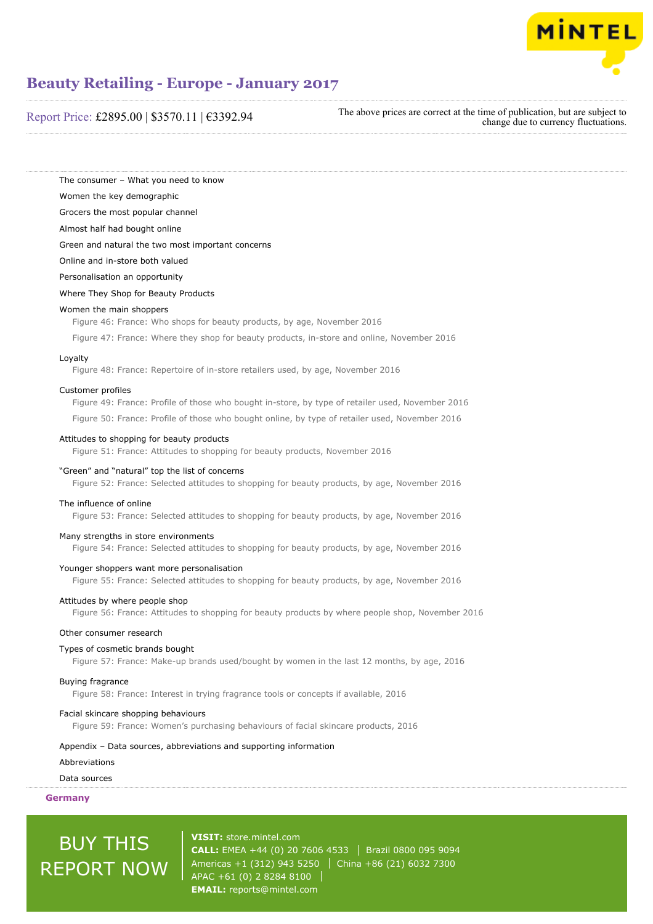

Report Price: £2895.00 | \$3570.11 | €3392.94

The above prices are correct at the time of publication, but are subject to change due to currency fluctuations.

The consumer – What you need to know

Women the key demographic

Grocers the most popular channel

Almost half had bought online

Green and natural the two most important concerns

Online and in-store both valued

Personalisation an opportunity

Where They Shop for Beauty Products

#### Women the main shoppers

Figure 46: France: Who shops for beauty products, by age, November 2016

Figure 47: France: Where they shop for beauty products, in-store and online, November 2016

#### Loyalty

Figure 48: France: Repertoire of in-store retailers used, by age, November 2016

#### Customer profiles

Figure 49: France: Profile of those who bought in-store, by type of retailer used, November 2016

Figure 50: France: Profile of those who bought online, by type of retailer used, November 2016

#### Attitudes to shopping for beauty products

Figure 51: France: Attitudes to shopping for beauty products, November 2016

#### "Green" and "natural" top the list of concerns

Figure 52: France: Selected attitudes to shopping for beauty products, by age, November 2016

#### The influence of online

Figure 53: France: Selected attitudes to shopping for beauty products, by age, November 2016

#### Many strengths in store environments

Figure 54: France: Selected attitudes to shopping for beauty products, by age, November 2016

#### Younger shoppers want more personalisation

Figure 55: France: Selected attitudes to shopping for beauty products, by age, November 2016

#### Attitudes by where people shop

Figure 56: France: Attitudes to shopping for beauty products by where people shop, November 2016

#### Other consumer research

## Types of cosmetic brands bought

Figure 57: France: Make-up brands used/bought by women in the last 12 months, by age, 2016

#### Buying fragrance

Figure 58: France: Interest in trying fragrance tools or concepts if available, 2016

#### Facial skincare shopping behaviours

Figure 59: France: Women's purchasing behaviours of facial skincare products, 2016

#### Appendix – Data sources, abbreviations and supporting information

## **Abbreviations**

Data sources

# **Germany**

# BUY THIS REPORT NOW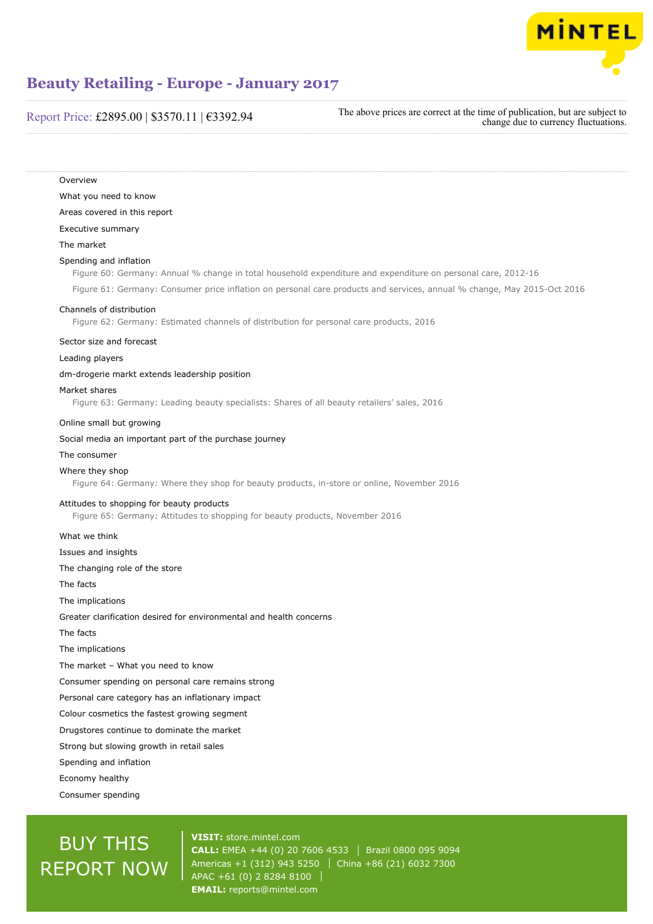

# Report Price: £2895.00 | \$3570.11 | €3392.94

The above prices are correct at the time of publication, but are subject to change due to currency fluctuations.

**Overview** What you need to know Areas covered in this report Executive summary The market Spending and inflation Figure 60: Germany: Annual % change in total household expenditure and expenditure on personal care, 2012-16 Figure 61: Germany: Consumer price inflation on personal care products and services, annual % change, May 2015-Oct 2016 Channels of distribution Figure 62: Germany: Estimated channels of distribution for personal care products, 2016 Sector size and forecast Leading players dm-drogerie markt extends leadership position Market shares Figure 63: Germany: Leading beauty specialists: Shares of all beauty retailers' sales, 2016 Online small but growing Social media an important part of the purchase journey The consumer Where they shop Figure 64: Germany: Where they shop for beauty products, in-store or online, November 2016 Attitudes to shopping for beauty products Figure 65: Germany: Attitudes to shopping for beauty products, November 2016 What we think Issues and insights The changing role of the store The facts The implications Greater clarification desired for environmental and health concerns The facts The implications The market – What you need to know Consumer spending on personal care remains strong Personal care category has an inflationary impact Colour cosmetics the fastest growing segment Drugstores continue to dominate the market Strong but slowing growth in retail sales Spending and inflation Economy healthy Consumer spending

# BUY THIS REPORT NOW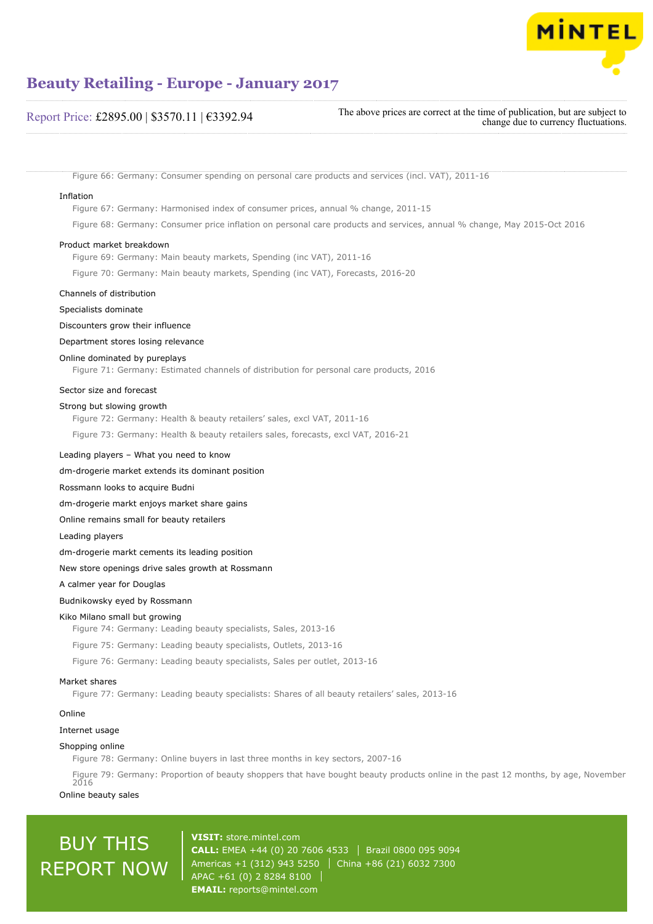

# Report Price: £2895.00 | \$3570.11 | €3392.94

The above prices are correct at the time of publication, but are subject to change due to currency fluctuations.

Figure 66: Germany: Consumer spending on personal care products and services (incl. VAT), 2011-16

#### Inflation

Figure 67: Germany: Harmonised index of consumer prices, annual % change, 2011-15

Figure 68: Germany: Consumer price inflation on personal care products and services, annual % change, May 2015-Oct 2016

#### Product market breakdown

Figure 69: Germany: Main beauty markets, Spending (inc VAT), 2011-16

Figure 70: Germany: Main beauty markets, Spending (inc VAT), Forecasts, 2016-20

## Channels of distribution

Specialists dominate

#### Discounters grow their influence

Department stores losing relevance

#### Online dominated by pureplays

Figure 71: Germany: Estimated channels of distribution for personal care products, 2016

#### Sector size and forecast

#### Strong but slowing growth

Figure 72: Germany: Health & beauty retailers' sales, excl VAT, 2011-16

Figure 73: Germany: Health & beauty retailers sales, forecasts, excl VAT, 2016-21

#### Leading players – What you need to know

### dm-drogerie market extends its dominant position

Rossmann looks to acquire Budni

dm-drogerie markt enjoys market share gains

Online remains small for beauty retailers

Leading players

dm-drogerie markt cements its leading position

New store openings drive sales growth at Rossmann

A calmer year for Douglas

#### Budnikowsky eyed by Rossmann

#### Kiko Milano small but growing

Figure 74: Germany: Leading beauty specialists, Sales, 2013-16

Figure 75: Germany: Leading beauty specialists, Outlets, 2013-16

Figure 76: Germany: Leading beauty specialists, Sales per outlet, 2013-16

#### Market shares

Figure 77: Germany: Leading beauty specialists: Shares of all beauty retailers' sales, 2013-16

#### Online

#### Internet usage

#### Shopping online

Figure 78: Germany: Online buyers in last three months in key sectors, 2007-16

Figure 79: Germany: Proportion of beauty shoppers that have bought beauty products online in the past 12 months, by age, November 2016

## Online beauty sales

# BUY THIS REPORT NOW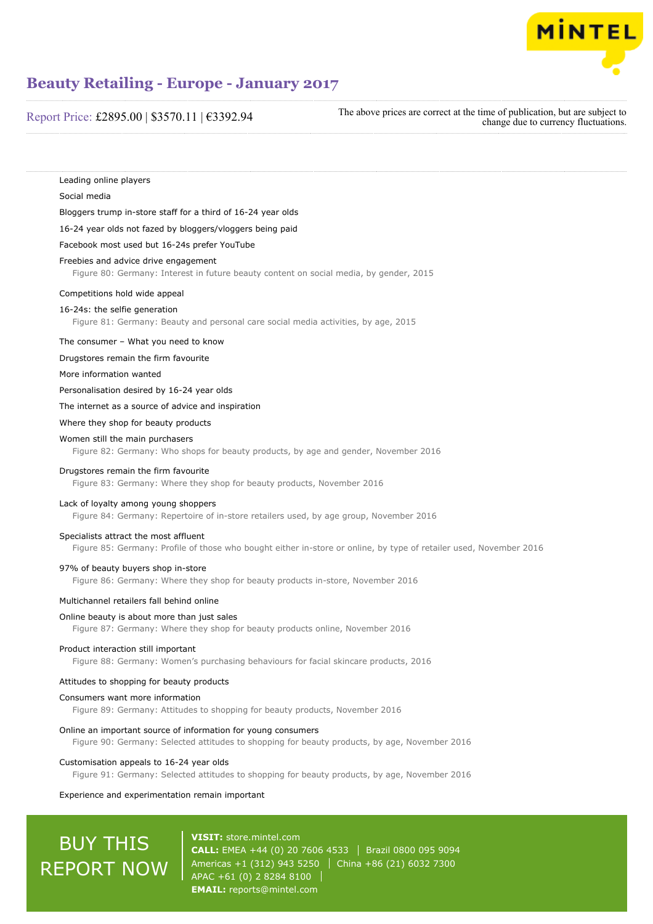

# Report Price: £2895.00 | \$3570.11 | €3392.94

The above prices are correct at the time of publication, but are subject to change due to currency fluctuations.

Leading online players Social media Bloggers trump in-store staff for a third of 16-24 year olds 16-24 year olds not fazed by bloggers/vloggers being paid Facebook most used but 16-24s prefer YouTube Freebies and advice drive engagement Figure 80: Germany: Interest in future beauty content on social media, by gender, 2015 Competitions hold wide appeal 16-24s: the selfie generation Figure 81: Germany: Beauty and personal care social media activities, by age, 2015 The consumer – What you need to know Drugstores remain the firm favourite More information wanted Personalisation desired by 16-24 year olds The internet as a source of advice and inspiration Where they shop for beauty products Women still the main purchasers Figure 82: Germany: Who shops for beauty products, by age and gender, November 2016 Drugstores remain the firm favourite Figure 83: Germany: Where they shop for beauty products, November 2016 Lack of loyalty among young shoppers Figure 84: Germany: Repertoire of in-store retailers used, by age group, November 2016 Specialists attract the most affluent Figure 85: Germany: Profile of those who bought either in-store or online, by type of retailer used, November 2016 97% of beauty buyers shop in-store Figure 86: Germany: Where they shop for beauty products in-store, November 2016 Multichannel retailers fall behind online Online beauty is about more than just sales Figure 87: Germany: Where they shop for beauty products online, November 2016 Product interaction still important Figure 88: Germany: Women's purchasing behaviours for facial skincare products, 2016 Attitudes to shopping for beauty products Consumers want more information Figure 89: Germany: Attitudes to shopping for beauty products, November 2016 Online an important source of information for young consumers Figure 90: Germany: Selected attitudes to shopping for beauty products, by age, November 2016 Customisation appeals to 16-24 year olds Figure 91: Germany: Selected attitudes to shopping for beauty products, by age, November 2016 Experience and experimentation remain important

# BUY THIS REPORT NOW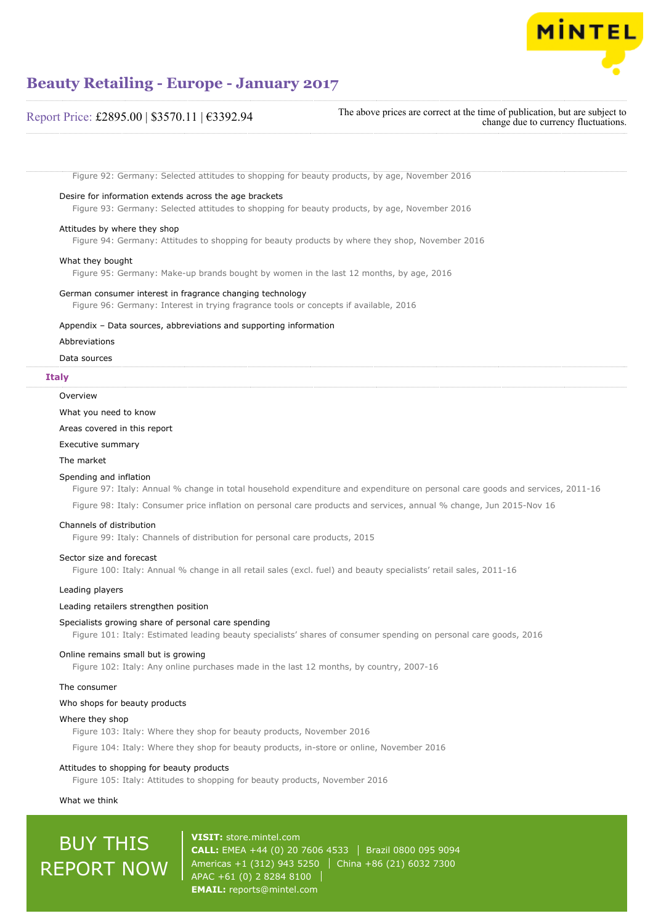

# Report Price: £2895.00 | \$3570.11 | €3392.94

The above prices are correct at the time of publication, but are subject to change due to currency fluctuations.

Figure 92: Germany: Selected attitudes to shopping for beauty products, by age, November 2016

#### Desire for information extends across the age brackets

Figure 93: Germany: Selected attitudes to shopping for beauty products, by age, November 2016

#### Attitudes by where they shop

Figure 94: Germany: Attitudes to shopping for beauty products by where they shop, November 2016

### What they bought

Figure 95: Germany: Make-up brands bought by women in the last 12 months, by age, 2016

#### German consumer interest in fragrance changing technology

Figure 96: Germany: Interest in trying fragrance tools or concepts if available, 2016

#### Appendix – Data sources, abbreviations and supporting information

Abbreviations

#### Data sources

#### **Italy**

#### **Overview**

What you need to know

## Areas covered in this report

Executive summary

#### The market

#### Spending and inflation

Figure 97: Italy: Annual % change in total household expenditure and expenditure on personal care goods and services, 2011-16

Figure 98: Italy: Consumer price inflation on personal care products and services, annual % change, Jun 2015-Nov 16

#### Channels of distribution

Figure 99: Italy: Channels of distribution for personal care products, 2015

#### Sector size and forecast

Figure 100: Italy: Annual % change in all retail sales (excl. fuel) and beauty specialists' retail sales, 2011-16

#### Leading players

#### Leading retailers strengthen position

#### Specialists growing share of personal care spending

Figure 101: Italy: Estimated leading beauty specialists' shares of consumer spending on personal care goods, 2016

#### Online remains small but is growing

Figure 102: Italy: Any online purchases made in the last 12 months, by country, 2007-16

#### The consumer

### Who shops for beauty products

#### Where they shop

Figure 103: Italy: Where they shop for beauty products, November 2016

Figure 104: Italy: Where they shop for beauty products, in-store or online, November 2016

#### Attitudes to shopping for beauty products

Figure 105: Italy: Attitudes to shopping for beauty products, November 2016

#### What we think

# BUY THIS REPORT NOW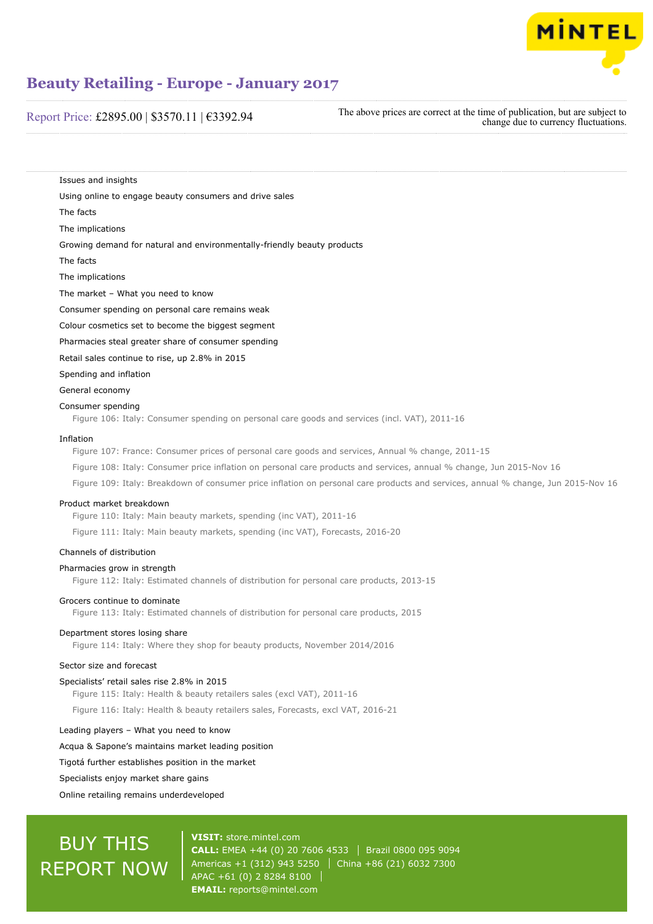

# Report Price: £2895.00 | \$3570.11 | €3392.94

The above prices are correct at the time of publication, but are subject to change due to currency fluctuations.

Issues and insights

Using online to engage beauty consumers and drive sales

The facts

The implications

Growing demand for natural and environmentally-friendly beauty products

The facts

The implications

The market – What you need to know

Consumer spending on personal care remains weak

Colour cosmetics set to become the biggest segment

Pharmacies steal greater share of consumer spending

Retail sales continue to rise, up 2.8% in 2015

Spending and inflation

General economy

#### Consumer spending

Figure 106: Italy: Consumer spending on personal care goods and services (incl. VAT), 2011-16

#### Inflation

Figure 107: France: Consumer prices of personal care goods and services, Annual % change, 2011-15

Figure 108: Italy: Consumer price inflation on personal care products and services, annual % change, Jun 2015-Nov 16

Figure 109: Italy: Breakdown of consumer price inflation on personal care products and services, annual % change, Jun 2015-Nov 16

#### Product market breakdown

Figure 110: Italy: Main beauty markets, spending (inc VAT), 2011-16

Figure 111: Italy: Main beauty markets, spending (inc VAT), Forecasts, 2016-20

### Channels of distribution

# Pharmacies grow in strength

Figure 112: Italy: Estimated channels of distribution for personal care products, 2013-15

#### Grocers continue to dominate

Figure 113: Italy: Estimated channels of distribution for personal care products, 2015

#### Department stores losing share

Figure 114: Italy: Where they shop for beauty products, November 2014/2016

# Sector size and forecast

Specialists' retail sales rise 2.8% in 2015

Figure 115: Italy: Health & beauty retailers sales (excl VAT), 2011-16

Figure 116: Italy: Health & beauty retailers sales, Forecasts, excl VAT, 2016-21

#### Leading players – What you need to know

Acqua & Sapone's maintains market leading position

## Tigotá further establishes position in the market

Specialists enjoy market share gains

Online retailing remains underdeveloped

# BUY THIS REPORT NOW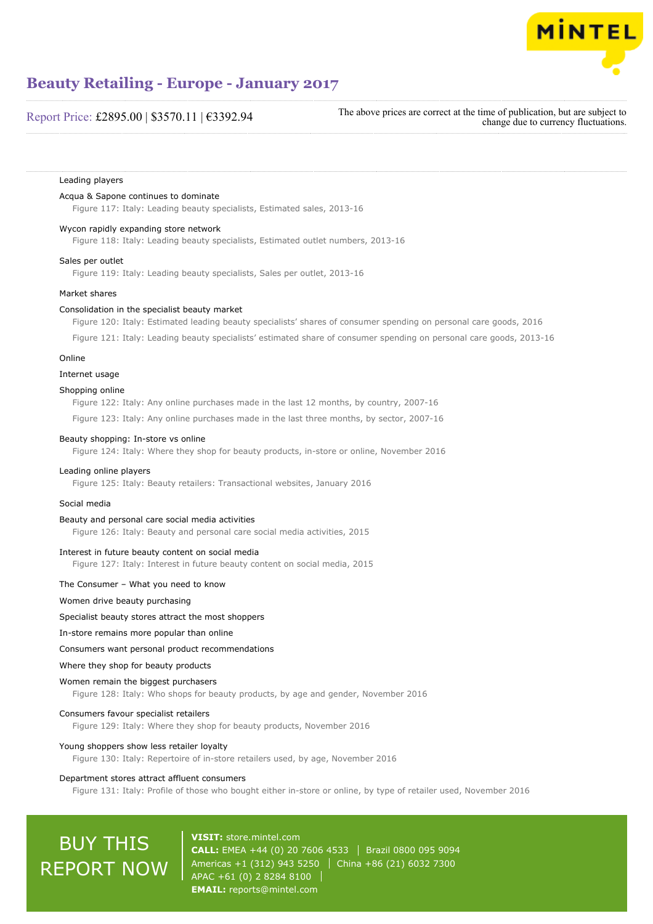

# Report Price: £2895.00 | \$3570.11 | €3392.94

The above prices are correct at the time of publication, but are subject to change due to currency fluctuations.

#### Leading players

#### Acqua & Sapone continues to dominate

Figure 117: Italy: Leading beauty specialists, Estimated sales, 2013-16

#### Wycon rapidly expanding store network

Figure 118: Italy: Leading beauty specialists, Estimated outlet numbers, 2013-16

#### Sales per outlet

Figure 119: Italy: Leading beauty specialists, Sales per outlet, 2013-16

#### Market shares

#### Consolidation in the specialist beauty market

Figure 120: Italy: Estimated leading beauty specialists' shares of consumer spending on personal care goods, 2016

Figure 121: Italy: Leading beauty specialists' estimated share of consumer spending on personal care goods, 2013-16

## Online

#### Internet usage

#### Shopping online

Figure 122: Italy: Any online purchases made in the last 12 months, by country, 2007-16

Figure 123: Italy: Any online purchases made in the last three months, by sector, 2007-16

#### Beauty shopping: In-store vs online

Figure 124: Italy: Where they shop for beauty products, in-store or online, November 2016

#### Leading online players

Figure 125: Italy: Beauty retailers: Transactional websites, January 2016

#### Social media

#### Beauty and personal care social media activities

Figure 126: Italy: Beauty and personal care social media activities, 2015

#### Interest in future beauty content on social media

Figure 127: Italy: Interest in future beauty content on social media, 2015

#### The Consumer – What you need to know

#### Women drive beauty purchasing

#### Specialist beauty stores attract the most shoppers

#### In-store remains more popular than online

#### Consumers want personal product recommendations

#### Where they shop for beauty products

#### Women remain the biggest purchasers

Figure 128: Italy: Who shops for beauty products, by age and gender, November 2016

#### Consumers favour specialist retailers

Figure 129: Italy: Where they shop for beauty products, November 2016

#### Young shoppers show less retailer loyalty

Figure 130: Italy: Repertoire of in-store retailers used, by age, November 2016

#### Department stores attract affluent consumers

Figure 131: Italy: Profile of those who bought either in-store or online, by type of retailer used, November 2016

# BUY THIS REPORT NOW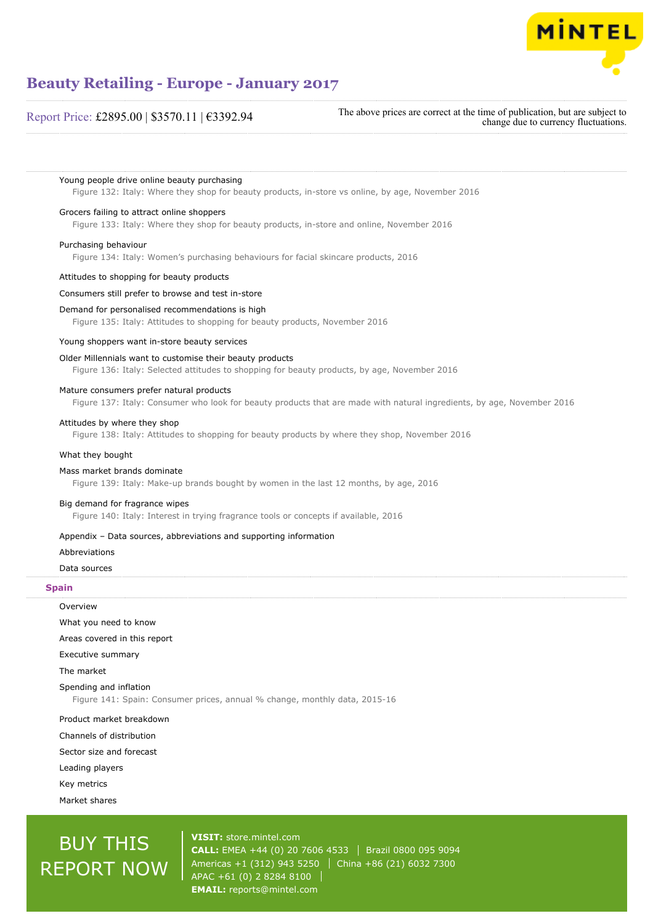

# Report Price: £2895.00 | \$3570.11 | €3392.94

The above prices are correct at the time of publication, but are subject to change due to currency fluctuations.

Young people drive online beauty purchasing

Figure 132: Italy: Where they shop for beauty products, in-store vs online, by age, November 2016

#### Grocers failing to attract online shoppers

Figure 133: Italy: Where they shop for beauty products, in-store and online, November 2016

#### Purchasing behaviour

Figure 134: Italy: Women's purchasing behaviours for facial skincare products, 2016

#### Attitudes to shopping for beauty products

#### Consumers still prefer to browse and test in-store

#### Demand for personalised recommendations is high

Figure 135: Italy: Attitudes to shopping for beauty products, November 2016

#### Young shoppers want in-store beauty services

#### Older Millennials want to customise their beauty products

Figure 136: Italy: Selected attitudes to shopping for beauty products, by age, November 2016

#### Mature consumers prefer natural products

Figure 137: Italy: Consumer who look for beauty products that are made with natural ingredients, by age, November 2016

#### Attitudes by where they shop

Figure 138: Italy: Attitudes to shopping for beauty products by where they shop, November 2016

#### What they bought

#### Mass market brands dominate

Figure 139: Italy: Make-up brands bought by women in the last 12 months, by age, 2016

#### Big demand for fragrance wipes

Figure 140: Italy: Interest in trying fragrance tools or concepts if available, 2016

# Appendix – Data sources, abbreviations and supporting information

#### Abbreviations

Data sources

#### **Spain**

| Overview                                                                                             |
|------------------------------------------------------------------------------------------------------|
| What you need to know                                                                                |
| Areas covered in this report                                                                         |
| Executive summary                                                                                    |
| The market                                                                                           |
| Spending and inflation<br>Figure 141: Spain: Consumer prices, annual % change, monthly data, 2015-16 |
| Product market breakdown                                                                             |
| Channels of distribution                                                                             |
| Sector size and forecast                                                                             |
| Leading players                                                                                      |

Key metrics

Market shares

# BUY THIS REPORT NOW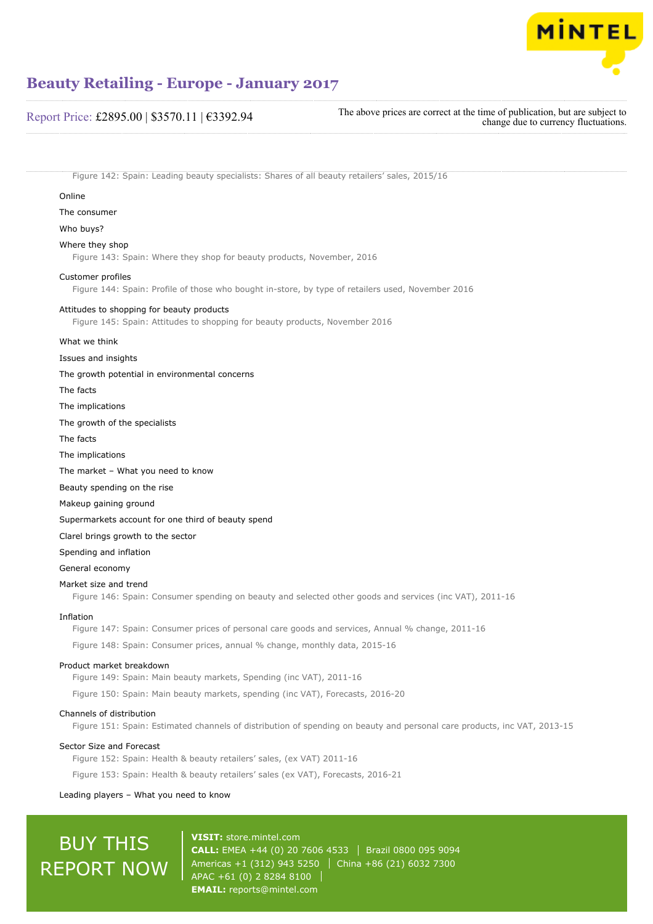

# Report Price: £2895.00 | \$3570.11 | €3392.94

The above prices are correct at the time of publication, but are subject to change due to currency fluctuations.

Figure 142: Spain: Leading beauty specialists: Shares of all beauty retailers' sales, 2015/16

#### Online

The consumer

Who buys?

## Where they shop

Figure 143: Spain: Where they shop for beauty products, November, 2016

#### Customer profiles

Figure 144: Spain: Profile of those who bought in-store, by type of retailers used, November 2016

#### Attitudes to shopping for beauty products

Figure 145: Spain: Attitudes to shopping for beauty products, November 2016

#### What we think

Issues and insights

#### The growth potential in environmental concerns

The facts

- The implications
- The growth of the specialists
- The facts
- The implications

The market – What you need to know

Beauty spending on the rise

Makeup gaining ground

#### Supermarkets account for one third of beauty spend

Clarel brings growth to the sector

Spending and inflation

General economy

#### Market size and trend

Figure 146: Spain: Consumer spending on beauty and selected other goods and services (inc VAT), 2011-16

#### Inflation

Figure 147: Spain: Consumer prices of personal care goods and services, Annual % change, 2011-16

Figure 148: Spain: Consumer prices, annual % change, monthly data, 2015-16

### Product market breakdown

Figure 149: Spain: Main beauty markets, Spending (inc VAT), 2011-16

Figure 150: Spain: Main beauty markets, spending (inc VAT), Forecasts, 2016-20

### Channels of distribution

Figure 151: Spain: Estimated channels of distribution of spending on beauty and personal care products, inc VAT, 2013-15

#### Sector Size and Forecast

Figure 152: Spain: Health & beauty retailers' sales, (ex VAT) 2011-16

Figure 153: Spain: Health & beauty retailers' sales (ex VAT), Forecasts, 2016-21

#### Leading players – What you need to know

# BUY THIS REPORT NOW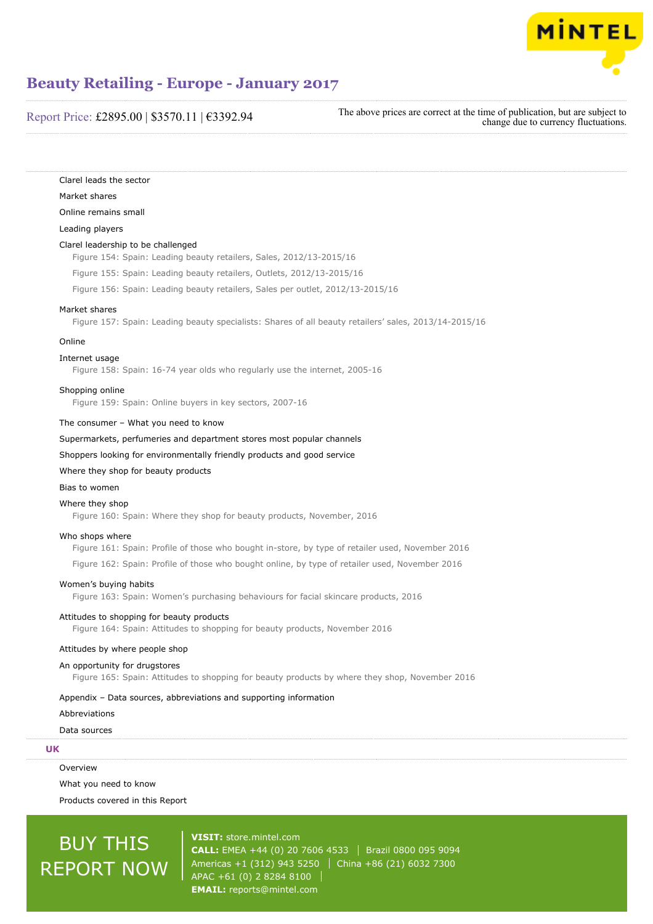

# Report Price: £2895.00 | \$3570.11 | €3392.94

The above prices are correct at the time of publication, but are subject to change due to currency fluctuations.

Clarel leads the sector Market shares

### Online remains small

Leading players

#### Clarel leadership to be challenged

Figure 154: Spain: Leading beauty retailers, Sales, 2012/13-2015/16

Figure 155: Spain: Leading beauty retailers, Outlets, 2012/13-2015/16

Figure 156: Spain: Leading beauty retailers, Sales per outlet, 2012/13-2015/16

#### Market shares

Figure 157: Spain: Leading beauty specialists: Shares of all beauty retailers' sales, 2013/14-2015/16

#### Online

### Internet usage

Figure 158: Spain: 16-74 year olds who regularly use the internet, 2005-16

#### Shopping online

Figure 159: Spain: Online buyers in key sectors, 2007-16

#### The consumer – What you need to know

Supermarkets, perfumeries and department stores most popular channels

Shoppers looking for environmentally friendly products and good service

## Where they shop for beauty products

#### Bias to women

#### Where they shop

Figure 160: Spain: Where they shop for beauty products, November, 2016

#### Who shops where

Figure 161: Spain: Profile of those who bought in-store, by type of retailer used, November 2016 Figure 162: Spain: Profile of those who bought online, by type of retailer used, November 2016

#### Women's buying habits

Figure 163: Spain: Women's purchasing behaviours for facial skincare products, 2016

# Attitudes to shopping for beauty products

Figure 164: Spain: Attitudes to shopping for beauty products, November 2016

#### Attitudes by where people shop

#### An opportunity for drugstores

Figure 165: Spain: Attitudes to shopping for beauty products by where they shop, November 2016

#### Appendix – Data sources, abbreviations and supporting information

### Abbreviations

Data sources

# **UK**

Overview

What you need to know Products covered in this Report

# BUY THIS REPORT NOW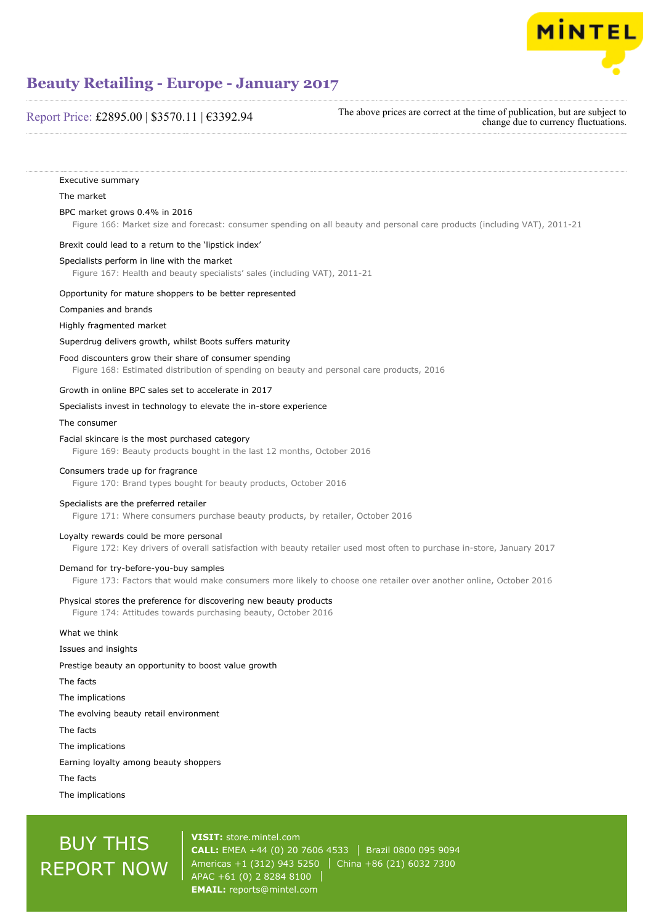

# Report Price: £2895.00 | \$3570.11 | €3392.94

The above prices are correct at the time of publication, but are subject to change due to currency fluctuations.

Executive summary The market BPC market grows 0.4% in 2016 Figure 166: Market size and forecast: consumer spending on all beauty and personal care products (including VAT), 2011-21 Brexit could lead to a return to the 'lipstick index' Specialists perform in line with the market Figure 167: Health and beauty specialists' sales (including VAT), 2011-21 Opportunity for mature shoppers to be better represented Companies and brands Highly fragmented market Superdrug delivers growth, whilst Boots suffers maturity Food discounters grow their share of consumer spending Figure 168: Estimated distribution of spending on beauty and personal care products, 2016 Growth in online BPC sales set to accelerate in 2017 Specialists invest in technology to elevate the in-store experience The consumer Facial skincare is the most purchased category Figure 169: Beauty products bought in the last 12 months, October 2016 Consumers trade up for fragrance Figure 170: Brand types bought for beauty products, October 2016 Specialists are the preferred retailer Figure 171: Where consumers purchase beauty products, by retailer, October 2016 Loyalty rewards could be more personal Figure 172: Key drivers of overall satisfaction with beauty retailer used most often to purchase in-store, January 2017 Demand for try-before-you-buy samples Figure 173: Factors that would make consumers more likely to choose one retailer over another online, October 2016 Physical stores the preference for discovering new beauty products Figure 174: Attitudes towards purchasing beauty, October 2016 What we think Issues and insights Prestige beauty an opportunity to boost value growth The facts The implications The evolving beauty retail environment The facts The implications Earning loyalty among beauty shoppers The facts The implications

# BUY THIS REPORT NOW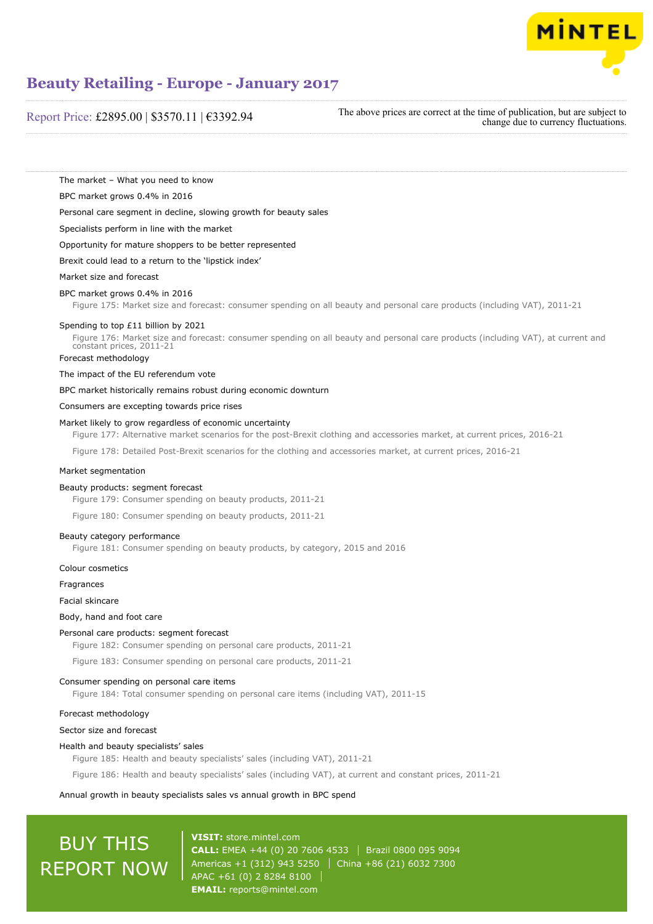

# Report Price: £2895.00 | \$3570.11 | €3392.94

The above prices are correct at the time of publication, but are subject to change due to currency fluctuations.

The market – What you need to know

BPC market grows 0.4% in 2016

Personal care segment in decline, slowing growth for beauty sales

Specialists perform in line with the market

Opportunity for mature shoppers to be better represented

Brexit could lead to a return to the 'lipstick index'

#### Market size and forecast

#### BPC market grows 0.4% in 2016

Figure 175: Market size and forecast: consumer spending on all beauty and personal care products (including VAT), 2011-21

#### Spending to top £11 billion by 2021

Figure 176: Market size and forecast: consumer spending on all beauty and personal care products (including VAT), at current and constant prices, 2011-21

Forecast methodology

The impact of the EU referendum vote

BPC market historically remains robust during economic downturn

Consumers are excepting towards price rises

#### Market likely to grow regardless of economic uncertainty

Figure 177: Alternative market scenarios for the post-Brexit clothing and accessories market, at current prices, 2016-21

Figure 178: Detailed Post-Brexit scenarios for the clothing and accessories market, at current prices, 2016-21

#### Market segmentation

### Beauty products: segment forecast

Figure 179: Consumer spending on beauty products, 2011-21

Figure 180: Consumer spending on beauty products, 2011-21

#### Beauty category performance

Figure 181: Consumer spending on beauty products, by category, 2015 and 2016

Colour cosmetics

Fragrances

#### Facial skincare

Body, hand and foot care

#### Personal care products: segment forecast

Figure 182: Consumer spending on personal care products, 2011-21

Figure 183: Consumer spending on personal care products, 2011-21

## Consumer spending on personal care items

Figure 184: Total consumer spending on personal care items (including VAT), 2011-15

#### Forecast methodology

### Sector size and forecast

#### Health and beauty specialists' sales

Figure 185: Health and beauty specialists' sales (including VAT), 2011-21

Figure 186: Health and beauty specialists' sales (including VAT), at current and constant prices, 2011-21

#### Annual growth in beauty specialists sales vs annual growth in BPC spend

# BUY THIS REPORT NOW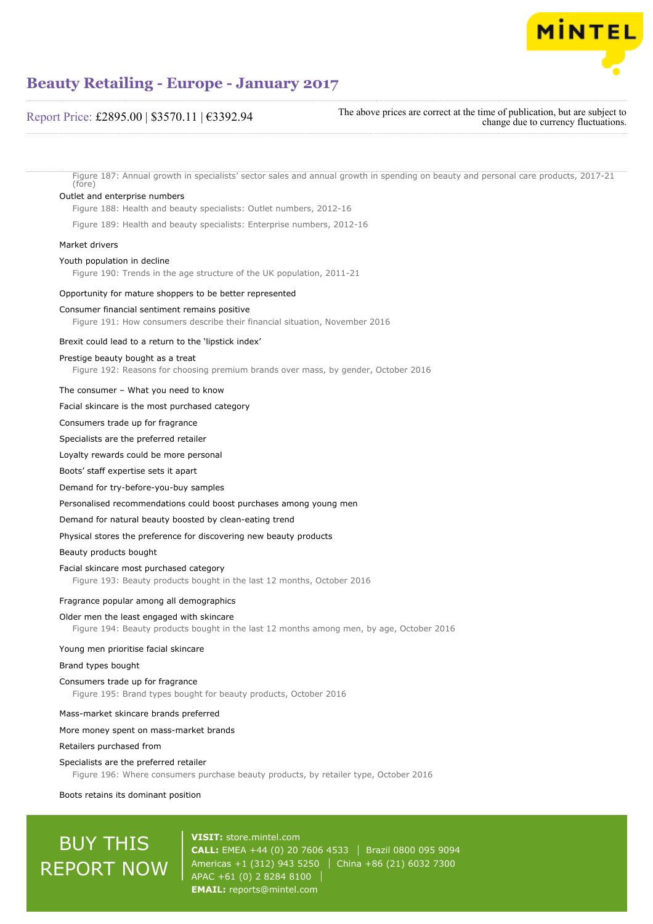

# Report Price: £2895.00 | \$3570.11 | €3392.94

The above prices are correct at the time of publication, but are subject to change due to currency fluctuations.

Figure 187: Annual growth in specialists' sector sales and annual growth in spending on beauty and personal care products, 2017-21 (fore)

#### Outlet and enterprise numbers

Figure 188: Health and beauty specialists: Outlet numbers, 2012-16

Figure 189: Health and beauty specialists: Enterprise numbers, 2012-16

## Market drivers

#### Youth population in decline

Figure 190: Trends in the age structure of the UK population, 2011-21

#### Opportunity for mature shoppers to be better represented

#### Consumer financial sentiment remains positive

Figure 191: How consumers describe their financial situation, November 2016

#### Brexit could lead to a return to the 'lipstick index'

#### Prestige beauty bought as a treat

Figure 192: Reasons for choosing premium brands over mass, by gender, October 2016

#### The consumer – What you need to know

#### Facial skincare is the most purchased category

Consumers trade up for fragrance

Specialists are the preferred retailer

Loyalty rewards could be more personal

#### Boots' staff expertise sets it apart

Demand for try-before-you-buy samples

Personalised recommendations could boost purchases among young men

#### Demand for natural beauty boosted by clean-eating trend

Physical stores the preference for discovering new beauty products

Beauty products bought

#### Facial skincare most purchased category

Figure 193: Beauty products bought in the last 12 months, October 2016

#### Fragrance popular among all demographics

#### Older men the least engaged with skincare

Figure 194: Beauty products bought in the last 12 months among men, by age, October 2016

#### Young men prioritise facial skincare

#### Brand types bought

## Consumers trade up for fragrance

Figure 195: Brand types bought for beauty products, October 2016

#### Mass-market skincare brands preferred

#### More money spent on mass-market brands

Retailers purchased from

#### Specialists are the preferred retailer

Figure 196: Where consumers purchase beauty products, by retailer type, October 2016

Boots retains its dominant position

# BUY THIS REPORT NOW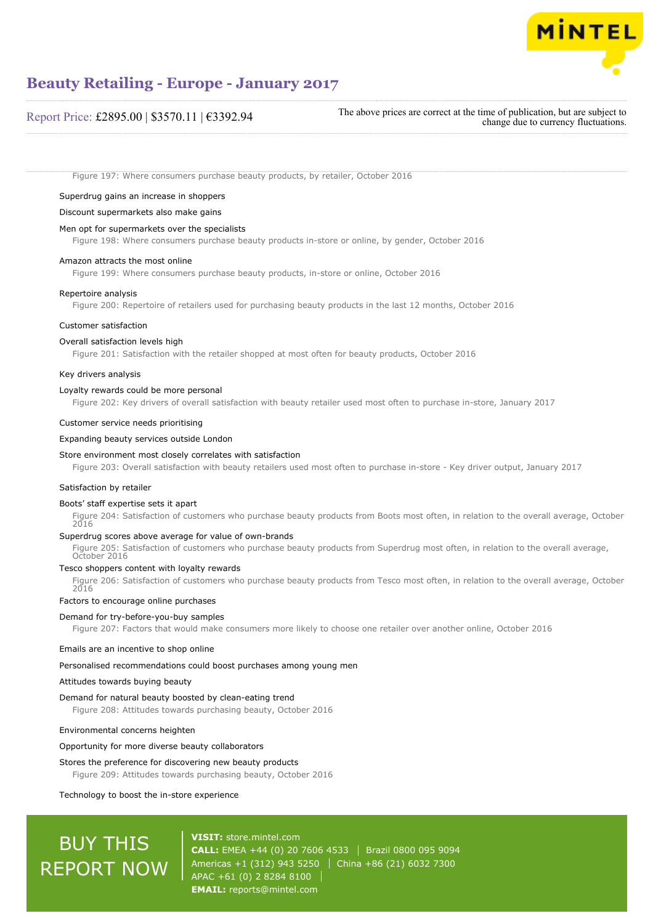

# Report Price: £2895.00 | \$3570.11 | €3392.94

The above prices are correct at the time of publication, but are subject to change due to currency fluctuations.

Figure 197: Where consumers purchase beauty products, by retailer, October 2016

Superdrug gains an increase in shoppers

#### Discount supermarkets also make gains

## Men opt for supermarkets over the specialists

Figure 198: Where consumers purchase beauty products in-store or online, by gender, October 2016

#### Amazon attracts the most online

Figure 199: Where consumers purchase beauty products, in-store or online, October 2016

#### Repertoire analysis

Figure 200: Repertoire of retailers used for purchasing beauty products in the last 12 months, October 2016

### Customer satisfaction

#### Overall satisfaction levels high

Figure 201: Satisfaction with the retailer shopped at most often for beauty products, October 2016

#### Key drivers analysis

#### Loyalty rewards could be more personal

Figure 202: Key drivers of overall satisfaction with beauty retailer used most often to purchase in-store, January 2017

#### Customer service needs prioritising

#### Expanding beauty services outside London

#### Store environment most closely correlates with satisfaction

Figure 203: Overall satisfaction with beauty retailers used most often to purchase in-store - Key driver output, January 2017

#### Satisfaction by retailer

#### Boots' staff expertise sets it apart

Figure 204: Satisfaction of customers who purchase beauty products from Boots most often, in relation to the overall average, October 2016

## Superdrug scores above average for value of own-brands

Figure 205: Satisfaction of customers who purchase beauty products from Superdrug most often, in relation to the overall average, October 2016

#### Tesco shoppers content with loyalty rewards

Figure 206: Satisfaction of customers who purchase beauty products from Tesco most often, in relation to the overall average, October 2016

#### Factors to encourage online purchases

#### Demand for try-before-you-buy samples

Figure 207: Factors that would make consumers more likely to choose one retailer over another online, October 2016

#### Emails are an incentive to shop online

Personalised recommendations could boost purchases among young men

#### Attitudes towards buying beauty

#### Demand for natural beauty boosted by clean-eating trend

Figure 208: Attitudes towards purchasing beauty, October 2016

#### Environmental concerns heighten

#### Opportunity for more diverse beauty collaborators

### Stores the preference for discovering new beauty products

Figure 209: Attitudes towards purchasing beauty, October 2016

#### Technology to boost the in-store experience

# BUY THIS REPORT NOW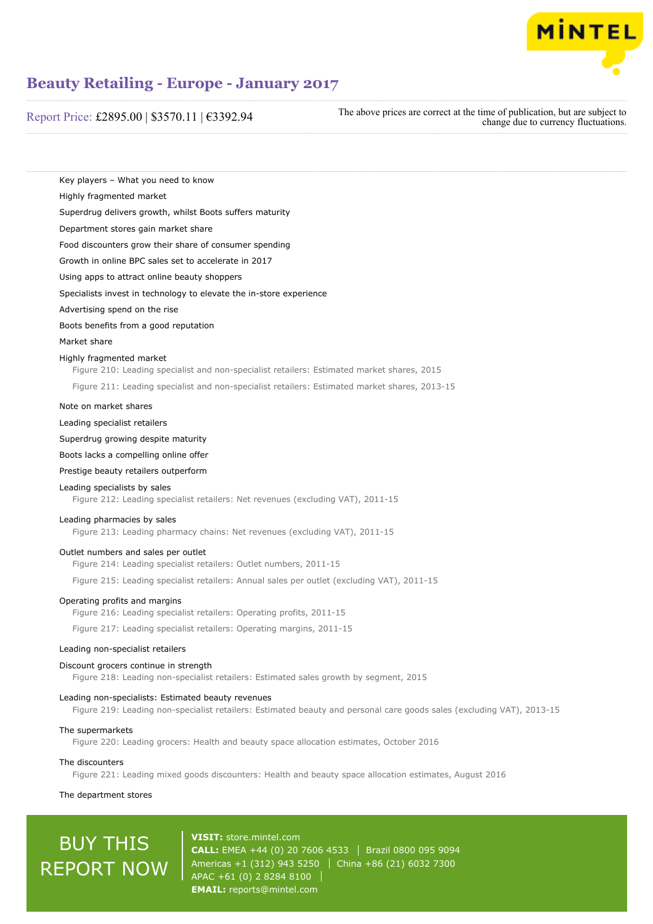

# Report Price: £2895.00 | \$3570.11 | €3392.94

The above prices are correct at the time of publication, but are subject to change due to currency fluctuations.

Key players – What you need to know

Highly fragmented market

Superdrug delivers growth, whilst Boots suffers maturity

Department stores gain market share

Food discounters grow their share of consumer spending

Growth in online BPC sales set to accelerate in 2017

Using apps to attract online beauty shoppers

Specialists invest in technology to elevate the in-store experience

Advertising spend on the rise

Boots benefits from a good reputation

Market share

### Highly fragmented market

Figure 210: Leading specialist and non-specialist retailers: Estimated market shares, 2015 Figure 211: Leading specialist and non-specialist retailers: Estimated market shares, 2013-15

#### Note on market shares

Leading specialist retailers

Superdrug growing despite maturity

Boots lacks a compelling online offer

Prestige beauty retailers outperform

### Leading specialists by sales

Figure 212: Leading specialist retailers: Net revenues (excluding VAT), 2011-15

#### Leading pharmacies by sales

Figure 213: Leading pharmacy chains: Net revenues (excluding VAT), 2011-15

#### Outlet numbers and sales per outlet

Figure 214: Leading specialist retailers: Outlet numbers, 2011-15

Figure 215: Leading specialist retailers: Annual sales per outlet (excluding VAT), 2011-15

#### Operating profits and margins

Figure 216: Leading specialist retailers: Operating profits, 2011-15

Figure 217: Leading specialist retailers: Operating margins, 2011-15

#### Leading non-specialist retailers

#### Discount grocers continue in strength

Figure 218: Leading non-specialist retailers: Estimated sales growth by segment, 2015

#### Leading non-specialists: Estimated beauty revenues

Figure 219: Leading non-specialist retailers: Estimated beauty and personal care goods sales (excluding VAT), 2013-15

## The supermarkets

Figure 220: Leading grocers: Health and beauty space allocation estimates, October 2016

#### The discounters

Figure 221: Leading mixed goods discounters: Health and beauty space allocation estimates, August 2016

#### The department stores

# BUY THIS REPORT NOW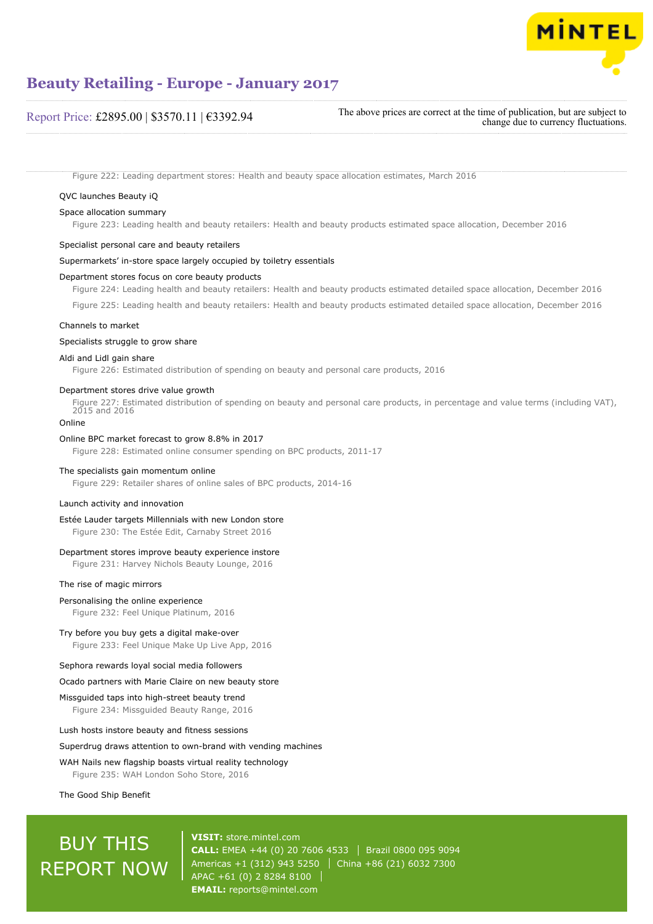

# Report Price: £2895.00 | \$3570.11 | €3392.94

The above prices are correct at the time of publication, but are subject to change due to currency fluctuations.

Figure 222: Leading department stores: Health and beauty space allocation estimates, March 2016

## QVC launches Beauty iQ

### Space allocation summary

Figure 223: Leading health and beauty retailers: Health and beauty products estimated space allocation, December 2016

## Specialist personal care and beauty retailers

#### Supermarkets' in-store space largely occupied by toiletry essentials

#### Department stores focus on core beauty products

Figure 224: Leading health and beauty retailers: Health and beauty products estimated detailed space allocation, December 2016

Figure 225: Leading health and beauty retailers: Health and beauty products estimated detailed space allocation, December 2016

#### Channels to market

#### Specialists struggle to grow share

### Aldi and Lidl gain share

Figure 226: Estimated distribution of spending on beauty and personal care products, 2016

#### Department stores drive value growth

Figure 227: Estimated distribution of spending on beauty and personal care products, in percentage and value terms (including VAT), 2015 and 2016

# Online

### Online BPC market forecast to grow 8.8% in 2017

Figure 228: Estimated online consumer spending on BPC products, 2011-17

#### The specialists gain momentum online

Figure 229: Retailer shares of online sales of BPC products, 2014-16

#### Launch activity and innovation

#### Estée Lauder targets Millennials with new London store

Figure 230: The Estée Edit, Carnaby Street 2016

#### Department stores improve beauty experience instore

Figure 231: Harvey Nichols Beauty Lounge, 2016

#### The rise of magic mirrors

## Personalising the online experience

Figure 232: Feel Unique Platinum, 2016

#### Try before you buy gets a digital make-over

Figure 233: Feel Unique Make Up Live App, 2016

### Sephora rewards loyal social media followers

#### Ocado partners with Marie Claire on new beauty store

Missguided taps into high-street beauty trend Figure 234: Missguided Beauty Range, 2016

#### Lush hosts instore beauty and fitness sessions

#### Superdrug draws attention to own-brand with vending machines

#### WAH Nails new flagship boasts virtual reality technology

Figure 235: WAH London Soho Store, 2016

The Good Ship Benefit

# BUY THIS REPORT NOW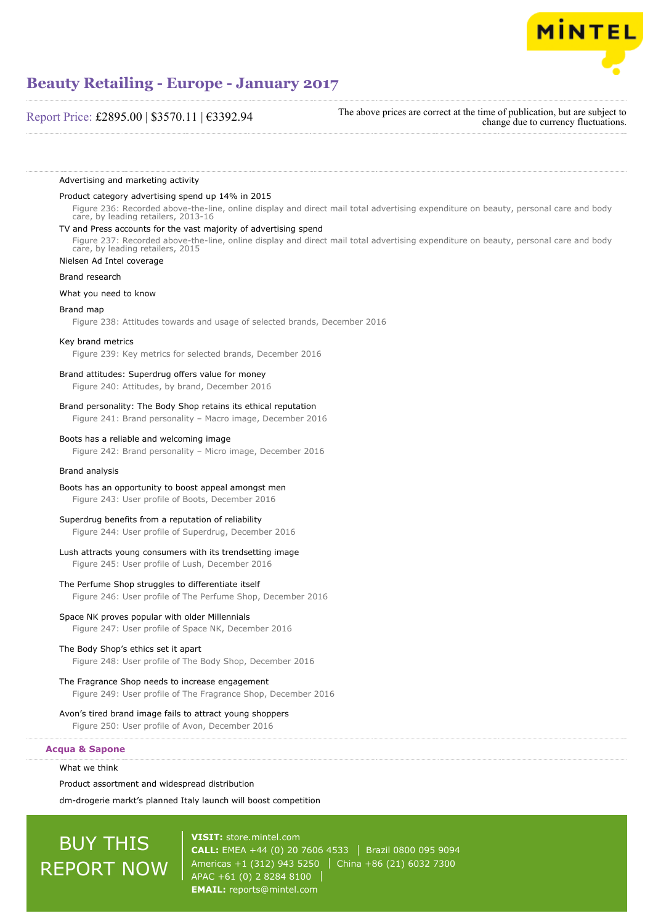

# Report Price: £2895.00 | \$3570.11 | €3392.94

The above prices are correct at the time of publication, but are subject to change due to currency fluctuations.

Advertising and marketing activity

#### Product category advertising spend up 14% in 2015

Figure 236: Recorded above-the-line, online display and direct mail total advertising expenditure on beauty, personal care and body care, by leading retailers, 2013-16

## TV and Press accounts for the vast majority of advertising spend

Figure 237: Recorded above-the-line, online display and direct mail total advertising expenditure on beauty, personal care and body care, by leading retailers, 2015

Nielsen Ad Intel coverage

#### Brand research

#### What you need to know

#### Brand map

Figure 238: Attitudes towards and usage of selected brands, December 2016

## Key brand metrics

Figure 239: Key metrics for selected brands, December 2016

#### Brand attitudes: Superdrug offers value for money

Figure 240: Attitudes, by brand, December 2016

## Brand personality: The Body Shop retains its ethical reputation

Figure 241: Brand personality – Macro image, December 2016

#### Boots has a reliable and welcoming image

Figure 242: Brand personality – Micro image, December 2016

#### Brand analysis

Boots has an opportunity to boost appeal amongst men Figure 243: User profile of Boots, December 2016

#### Superdrug benefits from a reputation of reliability

Figure 244: User profile of Superdrug, December 2016

## Lush attracts young consumers with its trendsetting image

Figure 245: User profile of Lush, December 2016

#### The Perfume Shop struggles to differentiate itself

Figure 246: User profile of The Perfume Shop, December 2016

#### Space NK proves popular with older Millennials

Figure 247: User profile of Space NK, December 2016

#### The Body Shop's ethics set it apart

Figure 248: User profile of The Body Shop, December 2016

#### The Fragrance Shop needs to increase engagement

Figure 249: User profile of The Fragrance Shop, December 2016

# Avon's tired brand image fails to attract young shoppers

Figure 250: User profile of Avon, December 2016

## **Acqua & Sapone**

What we think

Product assortment and widespread distribution dm-drogerie markt's planned Italy launch will boost competition

# BUY THIS REPORT NOW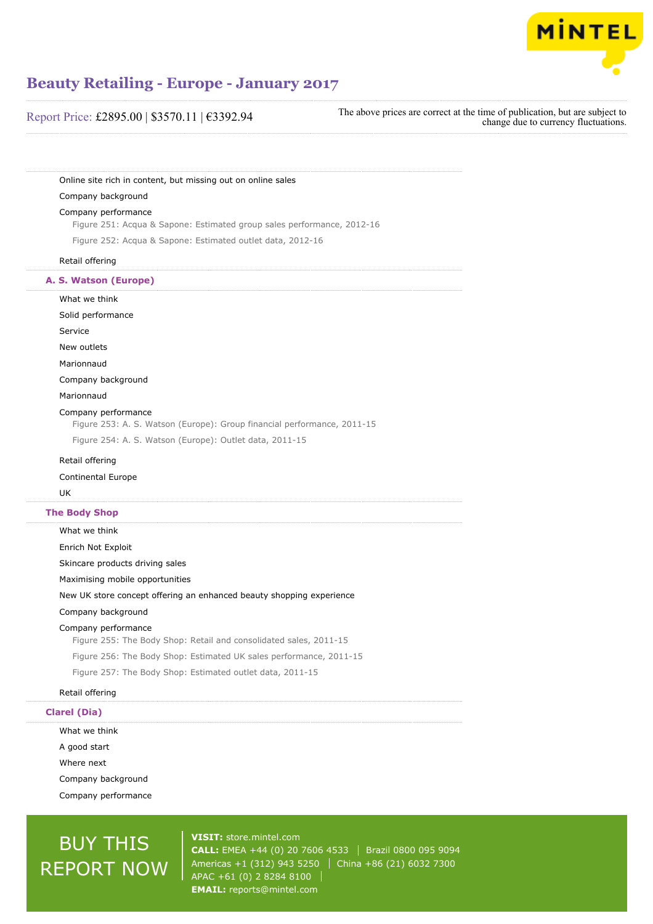

# Report Price: £2895.00 | \$3570.11 | €3392.94

The above prices are correct at the time of publication, but are subject to change due to currency fluctuations.

Online site rich in content, but missing out on online sales

## Company background

#### Company performance

Figure 251: Acqua & Sapone: Estimated group sales performance, 2012-16

Figure 252: Acqua & Sapone: Estimated outlet data, 2012-16

### Retail offering

## **A. S. Watson (Europe)**

What we think Solid performance Service New outlets Marionnaud Company background Marionnaud Company performance Figure 253: A. S. Watson (Europe): Group financial performance, 2011-15 Figure 254: A. S. Watson (Europe): Outlet data, 2011-15 Retail offering

#### Continental Europe

UK

### **The Body Shop**

What we think Enrich Not Exploit Skincare products driving sales Maximising mobile opportunities New UK store concept offering an enhanced beauty shopping experience Company background Company performance Figure 255: The Body Shop: Retail and consolidated sales, 2011-15 Figure 256: The Body Shop: Estimated UK sales performance, 2011-15 Figure 257: The Body Shop: Estimated outlet data, 2011-15

## Retail offering

# **Clarel (Dia)**

What we think A good start Where next Company background Company performance

# BUY THIS REPORT NOW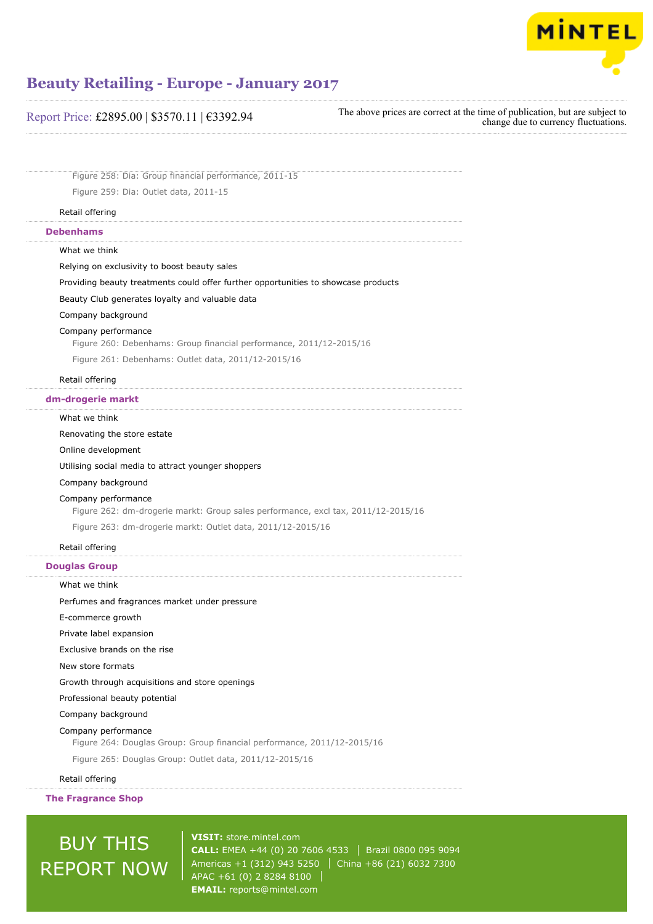

| Report Price: £2895.00   \$3570.11   €3392.94 |  |  |  |
|-----------------------------------------------|--|--|--|
|-----------------------------------------------|--|--|--|

The above prices are correct at the time of publication, but are subject to change due to currency fluctuations.

Figure 258: Dia: Group financial performance, 2011-15 Figure 259: Dia: Outlet data, 2011-15

### Retail offering

## **Debenhams**

What we think

Relying on exclusivity to boost beauty sales

Providing beauty treatments could offer further opportunities to showcase products

Beauty Club generates loyalty and valuable data

Company background

# Company performance

Figure 260: Debenhams: Group financial performance, 2011/12-2015/16

Figure 261: Debenhams: Outlet data, 2011/12-2015/16

## Retail offering

#### **dm-drogerie markt**

#### What we think

Renovating the store estate

Online development

Utilising social media to attract younger shoppers

Company background

#### Company performance

Figure 262: dm-drogerie markt: Group sales performance, excl tax, 2011/12-2015/16

Figure 263: dm-drogerie markt: Outlet data, 2011/12-2015/16

# Retail offering

## **Douglas Group**

What we think

Perfumes and fragrances market under pressure

E-commerce growth

Private label expansion

Exclusive brands on the rise

New store formats

Growth through acquisitions and store openings

Professional beauty potential

Company background

#### Company performance

Figure 264: Douglas Group: Group financial performance, 2011/12-2015/16

Figure 265: Douglas Group: Outlet data, 2011/12-2015/16

Retail offering

**The Fragrance Shop**

# BUY THIS REPORT NOW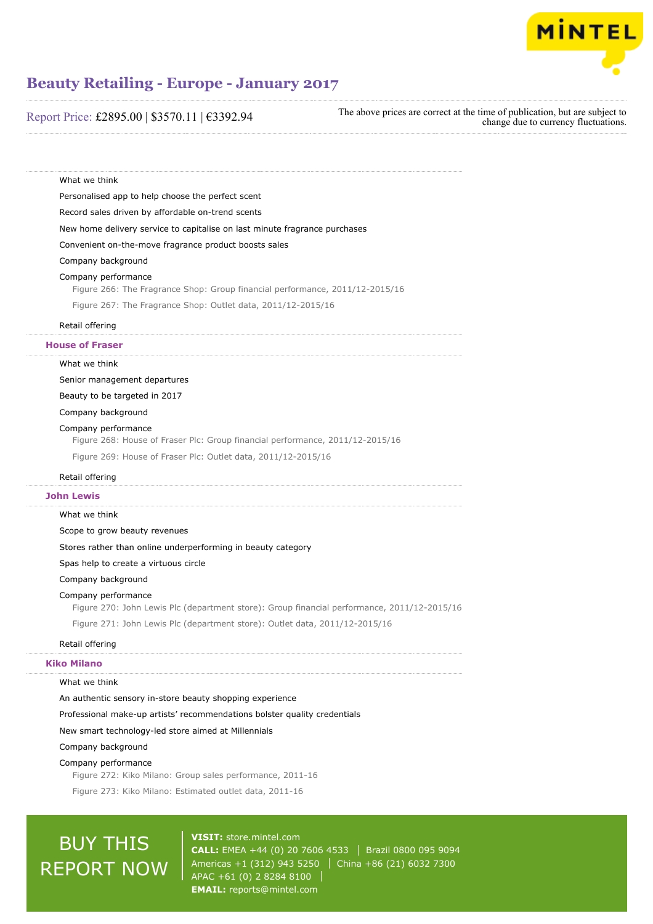

# Report Price: £2895.00 | \$3570.11 | €3392.94

The above prices are correct at the time of publication, but are subject to change due to currency fluctuations.

Personalised app to help choose the perfect scent Record sales driven by affordable on-trend scents New home delivery service to capitalise on last minute fragrance purchases Convenient on-the-move fragrance product boosts sales Company background Company performance Figure 266: The Fragrance Shop: Group financial performance, 2011/12-2015/16 Figure 267: The Fragrance Shop: Outlet data, 2011/12-2015/16

What we think

# Retail offering

**House of Fraser**

What we think

Senior management departures

Beauty to be targeted in 2017

Company background

#### Company performance

Figure 268: House of Fraser Plc: Group financial performance, 2011/12-2015/16

Figure 269: House of Fraser Plc: Outlet data, 2011/12-2015/16

#### Retail offering

#### **John Lewis**

#### What we think

Scope to grow beauty revenues

Stores rather than online underperforming in beauty category

Spas help to create a virtuous circle

Company background

#### Company performance

Figure 270: John Lewis Plc (department store): Group financial performance, 2011/12-2015/16 Figure 271: John Lewis Plc (department store): Outlet data, 2011/12-2015/16

# Retail offering

# **Kiko Milano**

## What we think

An authentic sensory in-store beauty shopping experience

Professional make-up artists' recommendations bolster quality credentials

New smart technology-led store aimed at Millennials

#### Company background

#### Company performance

Figure 272: Kiko Milano: Group sales performance, 2011-16

Figure 273: Kiko Milano: Estimated outlet data, 2011-16

# BUY THIS REPORT NOW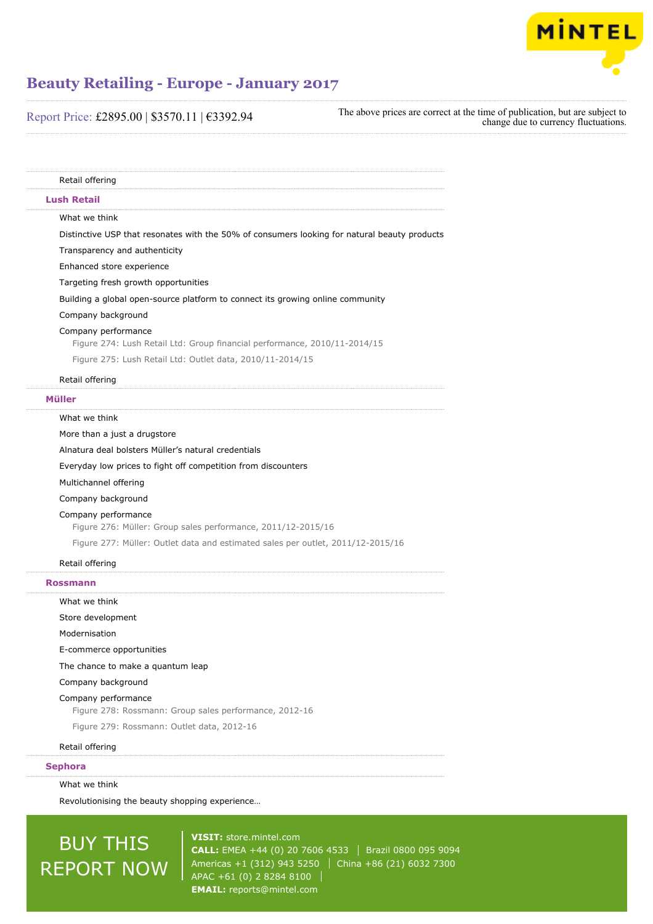

| Report Price: £2895.00   \$3570.11   €3392.94 |  |  |
|-----------------------------------------------|--|--|
|-----------------------------------------------|--|--|

| The above prices are correct at the time of publication, but are subject to |                                      |
|-----------------------------------------------------------------------------|--------------------------------------|
|                                                                             | change due to currency fluctuations. |

| Retail offering                                                                                  |
|--------------------------------------------------------------------------------------------------|
| <b>Lush Retail</b>                                                                               |
| What we think                                                                                    |
| Distinctive USP that resonates with the 50% of consumers looking for natural beauty products     |
| Transparency and authenticity                                                                    |
| Enhanced store experience                                                                        |
| Targeting fresh growth opportunities                                                             |
| Building a global open-source platform to connect its growing online community                   |
| Company background                                                                               |
| Company performance<br>Figure 274: Lush Retail Ltd: Group financial performance, 2010/11-2014/15 |
| Figure 275: Lush Retail Ltd: Outlet data, 2010/11-2014/15                                        |
| Retail offering                                                                                  |
| Müller                                                                                           |
| What we think                                                                                    |
| More than a just a drugstore                                                                     |
| Alnatura deal bolsters Müller's natural credentials                                              |
| Everyday low prices to fight off competition from discounters                                    |
| Multichannel offering                                                                            |
| Company background                                                                               |
| Company performance<br>Figure 276: Müller: Group sales performance, 2011/12-2015/16              |
| Figure 277: Müller: Outlet data and estimated sales per outlet, 2011/12-2015/16                  |
| Retail offering                                                                                  |
| <b>Rossmann</b>                                                                                  |
| What we think                                                                                    |
| Store development                                                                                |
| Modernisation                                                                                    |
| E-commerce opportunities                                                                         |
| The chance to make a quantum leap                                                                |
| Company background                                                                               |
| Company performance<br>Figure 278: Rossmann: Group sales performance, 2012-16                    |
| Figure 279: Rossmann: Outlet data, 2012-16                                                       |
| Retail offering                                                                                  |
| <b>Sephora</b>                                                                                   |
| What we think                                                                                    |
| Revolutionising the beauty shopping experience                                                   |

# **BUY THIS** REPORT NOW